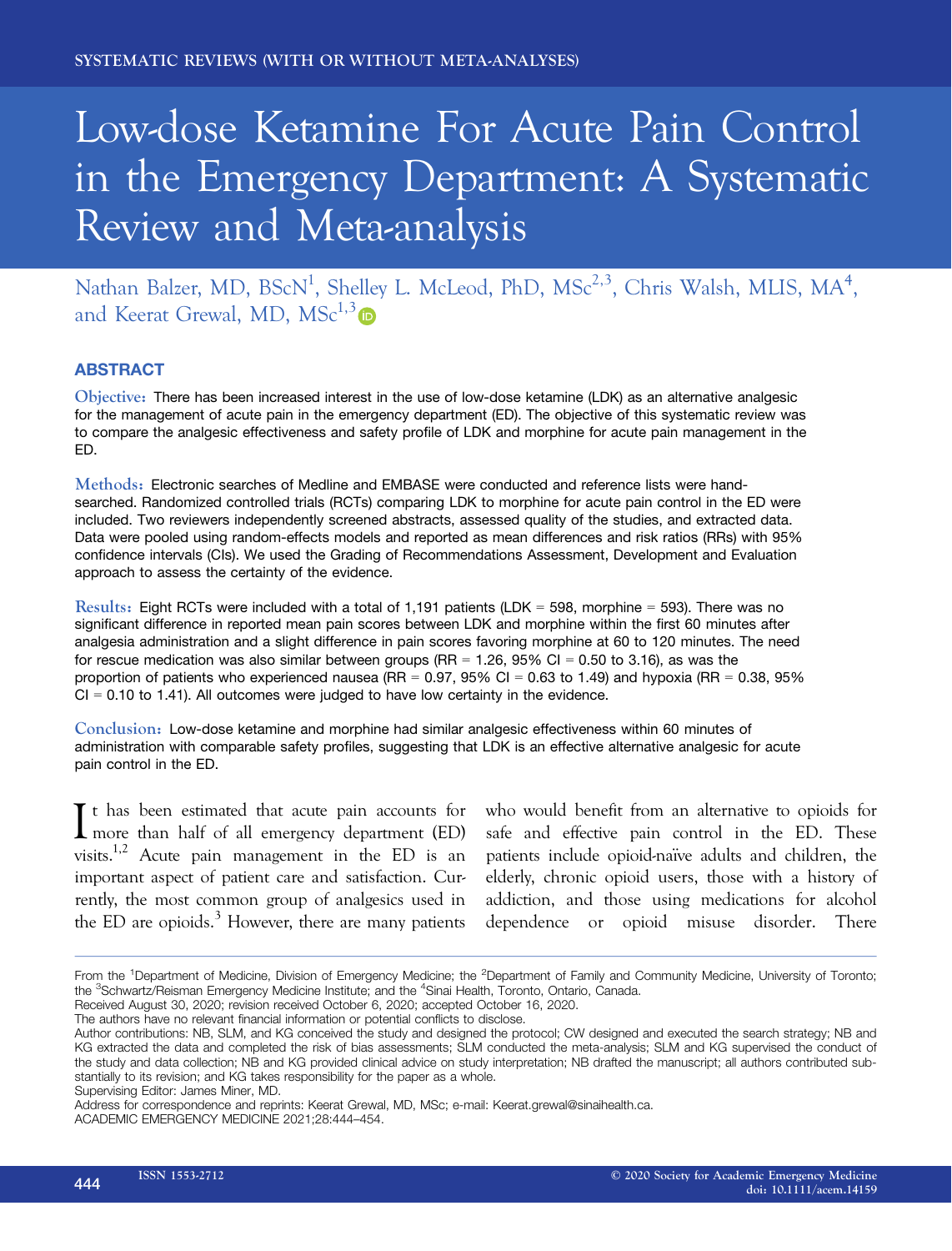# Low-dose Ketamine For Acute Pain Control in the Emergency Department: A Systematic Review and Meta-analysis

Nathan Balzer, MD, BScN<sup>1</sup>, Shelley L. McLeod, PhD, MSc<sup>2,3</sup>, Chris Walsh, MLIS, MA<sup>4</sup>, and Keerat Grewal, MD,  $MSc^{1,3}$ 

# ABSTRACT

Objective: There has been increased interest in the use of low-dose ketamine (LDK) as an alternative analgesic for the management of acute pain in the emergency department (ED). The objective of this systematic review was to compare the analgesic effectiveness and safety profile of LDK and morphine for acute pain management in the ED.

Methods: Electronic searches of Medline and EMBASE were conducted and reference lists were handsearched. Randomized controlled trials (RCTs) comparing LDK to morphine for acute pain control in the ED were included. Two reviewers independently screened abstracts, assessed quality of the studies, and extracted data. Data were pooled using random-effects models and reported as mean differences and risk ratios (RRs) with 95% confidence intervals (CIs). We used the Grading of Recommendations Assessment, Development and Evaluation approach to assess the certainty of the evidence.

Results: Eight RCTs were included with a total of 1,191 patients (LDK = 598, morphine = 593). There was no significant difference in reported mean pain scores between LDK and morphine within the first 60 minutes after analgesia administration and a slight difference in pain scores favoring morphine at 60 to 120 minutes. The need for rescue medication was also similar between groups (RR = 1.26, 95% CI = 0.50 to 3.16), as was the proportion of patients who experienced nausea (RR =  $0.97$ ,  $95\%$  CI =  $0.63$  to 1.49) and hypoxia (RR =  $0.38$ ,  $95\%$  $CI = 0.10$  to 1.41). All outcomes were judged to have low certainty in the evidence.

Conclusion: Low-dose ketamine and morphine had similar analgesic effectiveness within 60 minutes of administration with comparable safety profiles, suggesting that LDK is an effective alternative analgesic for acute pain control in the ED.

It has been estimated that acute pain accounts for<br>more than half of all emergency department (ED) more than half of all emergency department (ED) visits.<sup>1,2</sup> Acute pain management in the ED is an important aspect of patient care and satisfaction. Currently, the most common group of analgesics used in the ED are opioids. $3$  However, there are many patients

who would benefit from an alternative to opioids for safe and effective pain control in the ED. These patients include opioid-naïve adults and children, the elderly, chronic opioid users, those with a history of addiction, and those using medications for alcohol dependence or opioid misuse disorder. There

From the <sup>1</sup>Department of Medicine, Division of Emergency Medicine; the <sup>2</sup>Department of Family and Community Medicine, University of Toronto; the <sup>3</sup>Schwartz/Reisman Emergency Medicine Institute; and the <sup>4</sup>Sinai Health, Toronto, Ontario, Canada.

Received August 30, 2020; revision received October 6, 2020; accepted October 16, 2020. The authors have no relevant financial information or potential conflicts to disclose.

Author contributions: NB, SLM, and KG conceived the study and designed the protocol; CW designed and executed the search strategy; NB and KG extracted the data and completed the risk of bias assessments; SLM conducted the meta-analysis; SLM and KG supervised the conduct of the study and data collection; NB and KG provided clinical advice on study interpretation; NB drafted the manuscript; all authors contributed substantially to its revision; and KG takes responsibility for the paper as a whole.

Supervising Editor: James Miner, MD.

Address for correspondence and reprints: Keerat Grewal, MD, MSc; e-mail: [Keerat.grewal@sinaihealth.ca.](mailto:)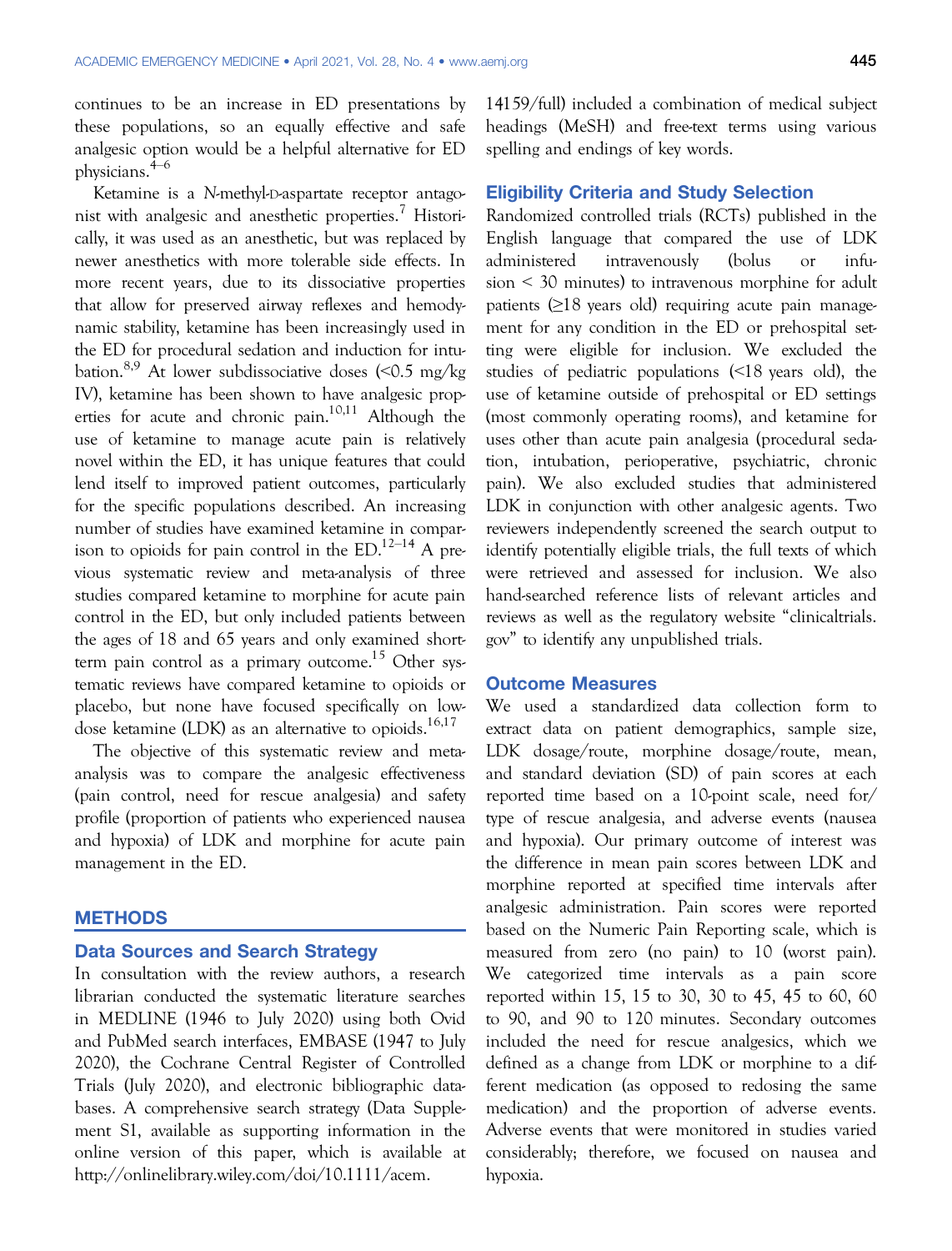continues to be an increase in ED presentations by these populations, so an equally effective and safe analgesic option would be a helpful alternative for ED physicians.4–<sup>6</sup>

Ketamine is a N-methyl-D-aspartate receptor antagonist with analgesic and anesthetic properties.<sup>7</sup> Historically, it was used as an anesthetic, but was replaced by newer anesthetics with more tolerable side effects. In more recent years, due to its dissociative properties that allow for preserved airway reflexes and hemodynamic stability, ketamine has been increasingly used in the ED for procedural sedation and induction for intubation.<sup>8,9</sup> At lower subdissociative doses  $\langle$  <0.5 mg/kg IV), ketamine has been shown to have analgesic properties for acute and chronic pain.<sup>10,11</sup> Although the use of ketamine to manage acute pain is relatively novel within the ED, it has unique features that could lend itself to improved patient outcomes, particularly for the specific populations described. An increasing number of studies have examined ketamine in comparison to opioids for pain control in the  $ED.^{12-14}$  A previous systematic review and meta-analysis of three studies compared ketamine to morphine for acute pain control in the ED, but only included patients between the ages of 18 and 65 years and only examined shortterm pain control as a primary outcome.<sup>15</sup> Other systematic reviews have compared ketamine to opioids or placebo, but none have focused specifically on lowdose ketamine (LDK) as an alternative to opioids. $16,17$ 

The objective of this systematic review and metaanalysis was to compare the analgesic effectiveness (pain control, need for rescue analgesia) and safety profile (proportion of patients who experienced nausea and hypoxia) of LDK and morphine for acute pain management in the ED.

#### **METHODS**

#### Data Sources and Search Strategy

In consultation with the review authors, a research librarian conducted the systematic literature searches in MEDLINE (1946 to July 2020) using both Ovid and PubMed search interfaces, EMBASE (1947 to July 2020), the Cochrane Central Register of Controlled Trials (July 2020), and electronic bibliographic databases. A comprehensive search strategy (Data Supplement S1, available as supporting information in the online version of this paper, which is available at [http://onlinelibrary.wiley.com/doi/10.1111/acem.](http://onlinelibrary.wiley.com/doi/10.1111/acem.14159/full)

[14159/full\)](http://onlinelibrary.wiley.com/doi/10.1111/acem.14159/full) included a combination of medical subject headings (MeSH) and free-text terms using various spelling and endings of key words.

# Eligibility Criteria and Study Selection

Randomized controlled trials (RCTs) published in the English language that compared the use of LDK administered intravenously (bolus or infusion < 30 minutes) to intravenous morphine for adult patients  $(≥18$  years old) requiring acute pain management for any condition in the ED or prehospital setting were eligible for inclusion. We excluded the studies of pediatric populations (<18 years old), the use of ketamine outside of prehospital or ED settings (most commonly operating rooms), and ketamine for uses other than acute pain analgesia (procedural sedation, intubation, perioperative, psychiatric, chronic pain). We also excluded studies that administered LDK in conjunction with other analgesic agents. Two reviewers independently screened the search output to identify potentially eligible trials, the full texts of which were retrieved and assessed for inclusion. We also hand-searched reference lists of relevant articles and reviews as well as the regulatory website "[clinicaltrials.](https://www.clinicaltrials.gov) [gov](https://www.clinicaltrials.gov)" to identify any unpublished trials.

#### Outcome Measures

We used a standardized data collection form to extract data on patient demographics, sample size, LDK dosage/route, morphine dosage/route, mean, and standard deviation (SD) of pain scores at each reported time based on a 10-point scale, need for/ type of rescue analgesia, and adverse events (nausea and hypoxia). Our primary outcome of interest was the difference in mean pain scores between LDK and morphine reported at specified time intervals after analgesic administration. Pain scores were reported based on the Numeric Pain Reporting scale, which is measured from zero (no pain) to 10 (worst pain). We categorized time intervals as a pain score reported within 15, 15 to 30, 30 to 45, 45 to 60, 60 to 90, and 90 to 120 minutes. Secondary outcomes included the need for rescue analgesics, which we defined as a change from LDK or morphine to a different medication (as opposed to redosing the same medication) and the proportion of adverse events. Adverse events that were monitored in studies varied considerably; therefore, we focused on nausea and hypoxia.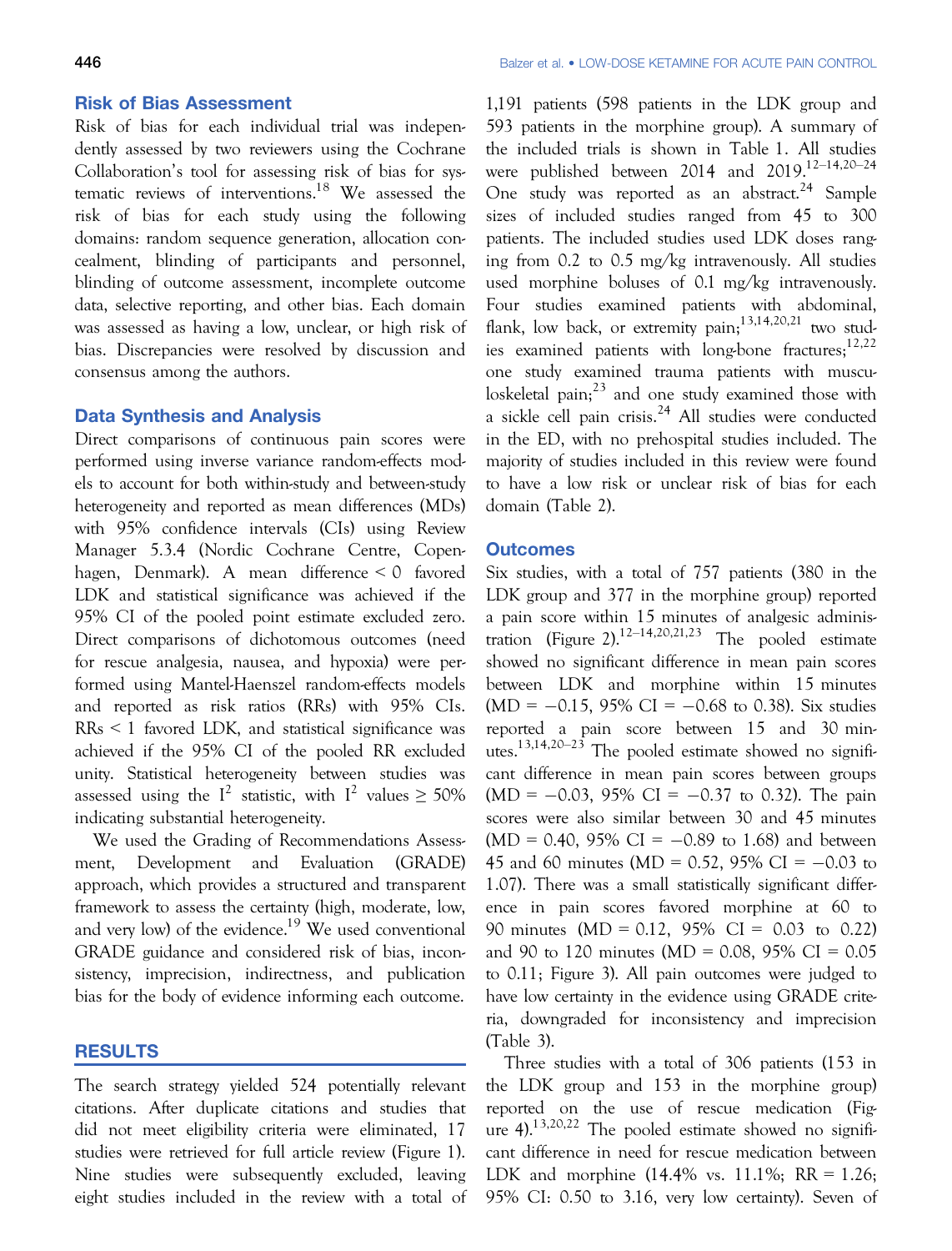#### Risk of Bias Assessment

Risk of bias for each individual trial was independently assessed by two reviewers using the Cochrane Collaboration's tool for assessing risk of bias for systematic reviews of interventions.18 We assessed the risk of bias for each study using the following domains: random sequence generation, allocation concealment, blinding of participants and personnel, blinding of outcome assessment, incomplete outcome data, selective reporting, and other bias. Each domain was assessed as having a low, unclear, or high risk of bias. Discrepancies were resolved by discussion and consensus among the authors.

#### Data Synthesis and Analysis

Direct comparisons of continuous pain scores were performed using inverse variance random-effects models to account for both within-study and between-study heterogeneity and reported as mean differences (MDs) with 95% confidence intervals (CIs) using Review Manager 5.3.4 (Nordic Cochrane Centre, Copenhagen, Denmark). A mean difference < 0 favored LDK and statistical significance was achieved if the 95% CI of the pooled point estimate excluded zero. Direct comparisons of dichotomous outcomes (need for rescue analgesia, nausea, and hypoxia) were performed using Mantel-Haenszel random-effects models and reported as risk ratios (RRs) with 95% CIs. RRs < 1 favored LDK, and statistical significance was achieved if the 95% CI of the pooled RR excluded unity. Statistical heterogeneity between studies was assessed using the  $I^2$  statistic, with  $I^2$  values  $\geq 50\%$ indicating substantial heterogeneity.

We used the Grading of Recommendations Assessment, Development and Evaluation (GRADE) approach, which provides a structured and transparent framework to assess the certainty (high, moderate, low, and very low) of the evidence.<sup>19</sup> We used conventional GRADE guidance and considered risk of bias, inconsistency, imprecision, indirectness, and publication bias for the body of evidence informing each outcome.

# RESULTS

The search strategy yielded 524 potentially relevant citations. After duplicate citations and studies that did not meet eligibility criteria were eliminated, 17 studies were retrieved for full article review (Figure 1). Nine studies were subsequently excluded, leaving eight studies included in the review with a total of

1,191 patients (598 patients in the LDK group and 593 patients in the morphine group). A summary of the included trials is shown in Table 1. All studies were published between 2014 and 2019.<sup>12-14,20-24</sup> One study was reported as an abstract.<sup>24</sup> Sample sizes of included studies ranged from 45 to 300 patients. The included studies used LDK doses ranging from 0.2 to 0.5 mg/kg intravenously. All studies used morphine boluses of 0.1 mg/kg intravenously. Four studies examined patients with abdominal, flank, low back, or extremity pain;  $13,14,20,21$  two studies examined patients with long-bone fractures; $12,22$ one study examined trauma patients with musculoskeletal pain; $^{23}$  and one study examined those with a sickle cell pain crisis.<sup>24</sup> All studies were conducted in the ED, with no prehospital studies included. The majority of studies included in this review were found to have a low risk or unclear risk of bias for each domain (Table 2).

#### **Outcomes**

Six studies, with a total of 757 patients (380 in the LDK group and 377 in the morphine group) reported a pain score within 15 minutes of analgesic administration (Figure 2).<sup>12–14,20,21,23</sup> The pooled estimate showed no significant difference in mean pain scores between LDK and morphine within 15 minutes  $(MD = -0.15, 95\% \text{ CI} = -0.68 \text{ to } 0.38)$ . Six studies reported a pain score between 15 and 30 minutes.<sup>13,14,20–23</sup> The pooled estimate showed no significant difference in mean pain scores between groups  $(MD = -0.03, 95\% \text{ CI} = -0.37 \text{ to } 0.32)$ . The pain scores were also similar between 30 and 45 minutes  $(MD = 0.40, 95\% \text{ CI} = -0.89 \text{ to } 1.68)$  and between 45 and 60 minutes (MD = 0.52, 95% CI =  $-0.03$  to 1.07). There was a small statistically significant difference in pain scores favored morphine at 60 to 90 minutes (MD = 0.12, 95% CI = 0.03 to 0.22) and 90 to 120 minutes (MD = 0.08, 95% CI = 0.05 to 0.11; Figure 3). All pain outcomes were judged to have low certainty in the evidence using GRADE criteria, downgraded for inconsistency and imprecision (Table 3).

Three studies with a total of 306 patients (153 in the LDK group and 153 in the morphine group) reported on the use of rescue medication (Figure  $4$ ).<sup>13,20,22</sup> The pooled estimate showed no significant difference in need for rescue medication between LDK and morphine  $(14.4\% \text{ vs. } 11.1\%; \text{ RR} = 1.26;$ 95% CI: 0.50 to 3.16, very low certainty). Seven of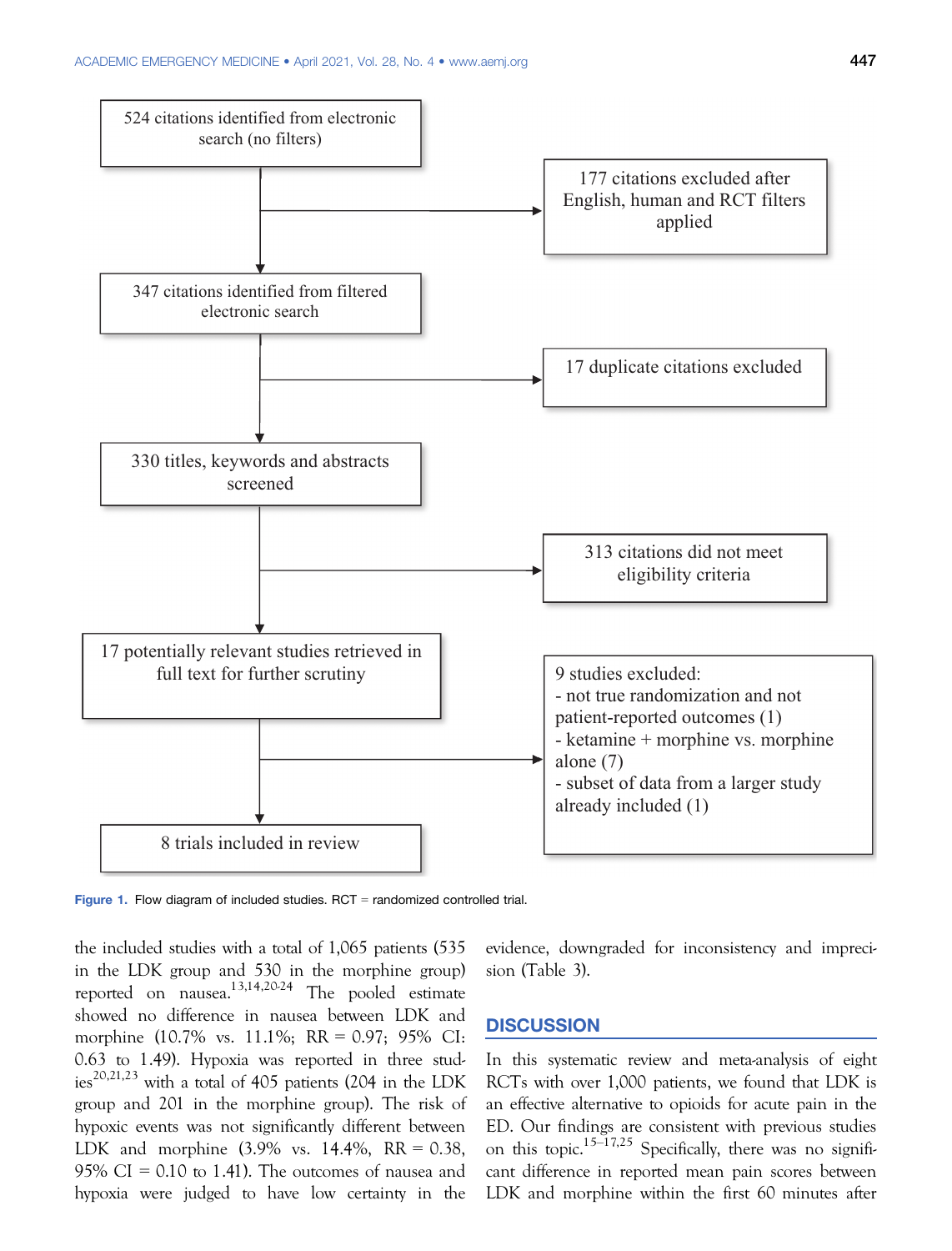

Figure 1. Flow diagram of included studies.  $RCT =$  randomized controlled trial.

the included studies with a total of 1,065 patients (535 in the LDK group and 530 in the morphine group) reported on nausea.<sup>13,14,20-24</sup> The pooled estimate showed no difference in nausea between LDK and morphine (10.7% vs. 11.1%; RR = 0.97; 95% CI: 0.63 to 1.49). Hypoxia was reported in three studies<sup>20,21,23</sup> with a total of 405 patients (204 in the LDK group and 201 in the morphine group). The risk of hypoxic events was not significantly different between LDK and morphine  $(3.9\% \text{ vs. } 14.4\%, \text{ RR} = 0.38,$ 95% CI =  $0.10$  to 1.41). The outcomes of nausea and hypoxia were judged to have low certainty in the

evidence, downgraded for inconsistency and imprecision (Table 3).

# **DISCUSSION**

In this systematic review and meta-analysis of eight RCTs with over 1,000 patients, we found that LDK is an effective alternative to opioids for acute pain in the ED. Our findings are consistent with previous studies on this topic.<sup>15–17,25</sup> Specifically, there was no significant difference in reported mean pain scores between LDK and morphine within the first 60 minutes after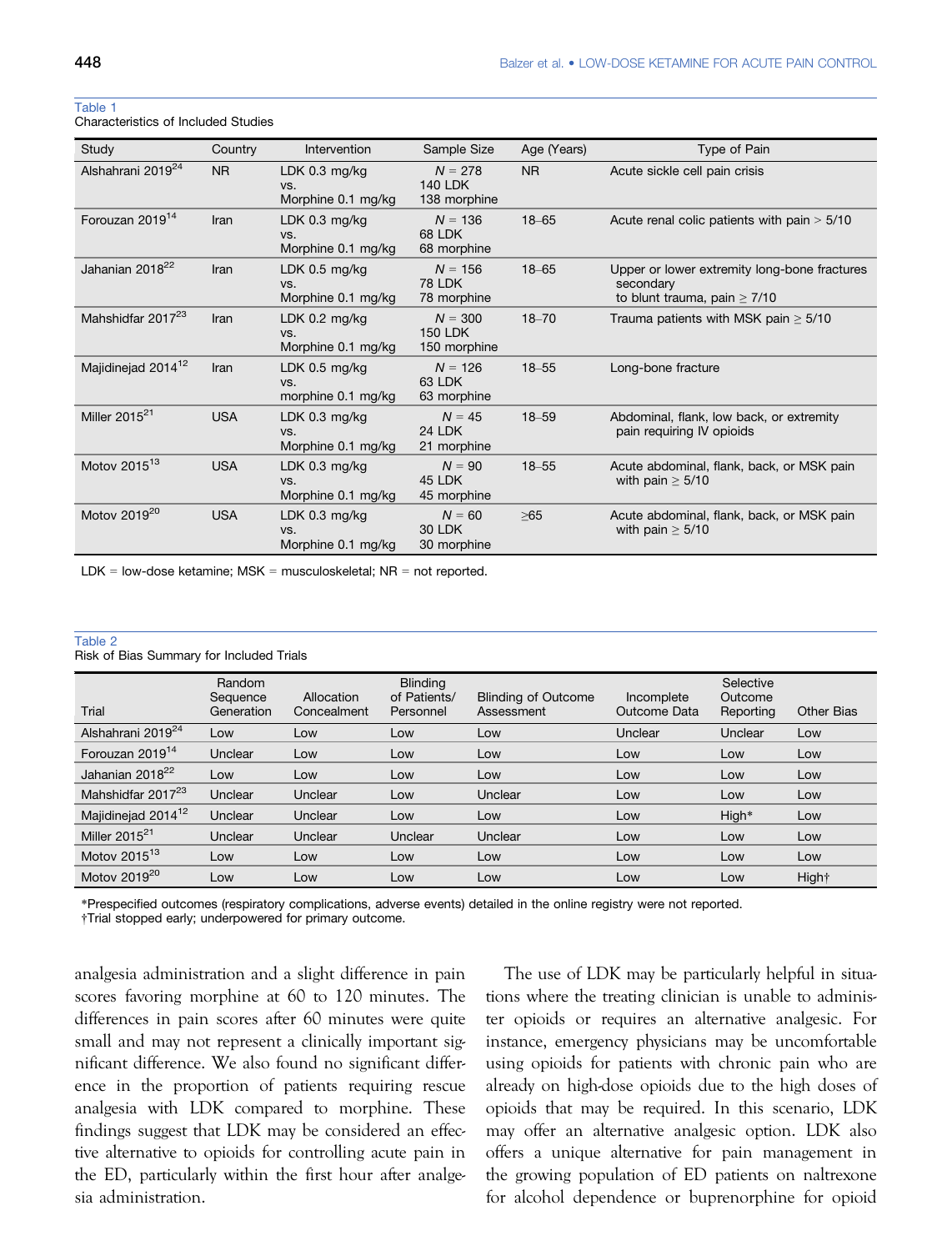Table 1

| Study                          | Country        | Intervention                                 | Sample Size                                 | Age (Years)    | Type of Pain                                                                                   |
|--------------------------------|----------------|----------------------------------------------|---------------------------------------------|----------------|------------------------------------------------------------------------------------------------|
| Alshahrani 2019 <sup>24</sup>  | N <sub>R</sub> | LDK $0.3$ mg/kg<br>VS.<br>Morphine 0.1 mg/kg | $N = 278$<br><b>140 LDK</b><br>138 morphine | N <sub>R</sub> | Acute sickle cell pain crisis                                                                  |
| Forouzan 2019 <sup>14</sup>    | Iran           | LDK $0.3$ mg/kg<br>VS.<br>Morphine 0.1 mg/kg | $N = 136$<br>68 LDK<br>68 morphine          | $18 - 65$      | Acute renal colic patients with pain $> 5/10$                                                  |
| Jahanian 2018 <sup>22</sup>    | Iran           | LDK $0.5$ mg/kg<br>VS.<br>Morphine 0.1 mg/kg | $N = 156$<br><b>78 LDK</b><br>78 morphine   | $18 - 65$      | Upper or lower extremity long-bone fractures<br>secondary<br>to blunt trauma, pain $\geq$ 7/10 |
| Mahshidfar 2017 <sup>23</sup>  | Iran           | LDK $0.2$ mg/kg<br>VS.<br>Morphine 0.1 mg/kg | $N = 300$<br><b>150 LDK</b><br>150 morphine | $18 - 70$      | Trauma patients with MSK pain $\geq 5/10$                                                      |
| Majidinejad 2014 <sup>12</sup> | Iran           | LDK $0.5$ mg/kg<br>VS.<br>morphine 0.1 mg/kg | $N = 126$<br>63 LDK<br>63 morphine          | $18 - 55$      | Long-bone fracture                                                                             |
| Miller $2015^{21}$             | <b>USA</b>     | LDK $0.3$ mg/kg<br>VS.<br>Morphine 0.1 mg/kg | $N = 45$<br><b>24 LDK</b><br>21 morphine    | $18 - 59$      | Abdominal, flank, low back, or extremity<br>pain requiring IV opioids                          |
| Motov 2015 <sup>13</sup>       | <b>USA</b>     | LDK $0.3$ mg/kg<br>VS.<br>Morphine 0.1 mg/kg | $N = 90$<br>45 LDK<br>45 morphine           | $18 - 55$      | Acute abdominal, flank, back, or MSK pain<br>with pain $\geq$ 5/10                             |
| Motov 2019 <sup>20</sup>       | <b>USA</b>     | LDK $0.3$ mg/kg<br>VS.<br>Morphine 0.1 mg/kg | $N = 60$<br><b>30 LDK</b><br>30 morphine    | $\geq 65$      | Acute abdominal, flank, back, or MSK pain<br>with pain $\geq$ 5/10                             |

Characteristics of Included Studies

LDK = low-dose ketamine;  $MSK =$  musculoskeletal;  $NR =$  not reported.

#### Table 2

Risk of Bias Summary for Included Trials

| Trial                          | Random<br>Sequence<br>Generation | Allocation<br>Concealment | <b>Blinding</b><br>of Patients/<br>Personnel | <b>Blinding of Outcome</b><br>Assessment | Incomplete<br>Outcome Data | Selective<br>Outcome<br>Reporting | <b>Other Bias</b> |
|--------------------------------|----------------------------------|---------------------------|----------------------------------------------|------------------------------------------|----------------------------|-----------------------------------|-------------------|
| Alshahrani 2019 <sup>24</sup>  | Low                              | Low                       | Low                                          | Low                                      | Unclear                    | Unclear                           | Low               |
| Forouzan 2019 <sup>14</sup>    | Unclear                          | Low                       | Low                                          | Low                                      | Low                        | Low                               | Low               |
| Jahanian 2018 <sup>22</sup>    | Low                              | Low                       | Low                                          | Low                                      | Low                        | Low                               | Low               |
| Mahshidfar 2017 <sup>23</sup>  | Unclear                          | Unclear                   | Low                                          | Unclear                                  | Low                        | Low                               | Low               |
| Majidinejad 2014 <sup>12</sup> | Unclear                          | Unclear                   | Low                                          | Low                                      | Low                        | High*                             | Low               |
| Miller $2015^{21}$             | Unclear                          | Unclear                   | Unclear                                      | Unclear                                  | Low                        | Low                               | Low               |
| Motov 2015 $^{13}$             | Low                              | Low                       | Low                                          | Low                                      | Low                        | Low                               | Low               |
| Motov 2019 <sup>20</sup>       | Low                              | Low                       | Low                                          | Low                                      | Low                        | Low                               | Hight             |

\*Prespecified outcomes (respiratory complications, adverse events) detailed in the online registry were not reported.

†Trial stopped early; underpowered for primary outcome.

analgesia administration and a slight difference in pain scores favoring morphine at 60 to 120 minutes. The differences in pain scores after 60 minutes were quite small and may not represent a clinically important significant difference. We also found no significant difference in the proportion of patients requiring rescue analgesia with LDK compared to morphine. These findings suggest that LDK may be considered an effective alternative to opioids for controlling acute pain in the ED, particularly within the first hour after analgesia administration.

The use of LDK may be particularly helpful in situations where the treating clinician is unable to administer opioids or requires an alternative analgesic. For instance, emergency physicians may be uncomfortable using opioids for patients with chronic pain who are already on high-dose opioids due to the high doses of opioids that may be required. In this scenario, LDK may offer an alternative analgesic option. LDK also offers a unique alternative for pain management in the growing population of ED patients on naltrexone for alcohol dependence or buprenorphine for opioid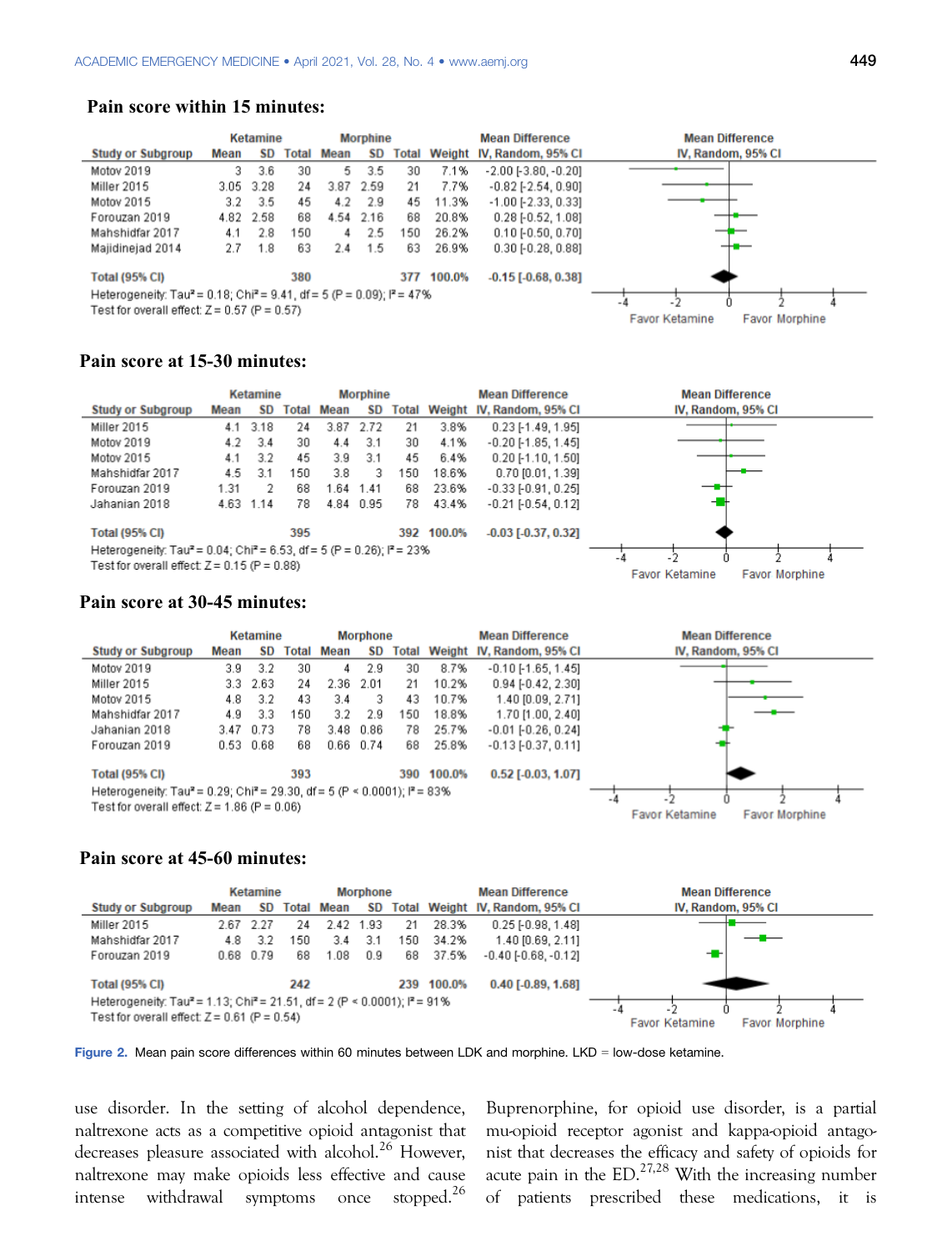#### **Pain score within 15 minutes:**

|                                                                                                |      | Ketamine  |       |      | <b>Morphine</b> |       |        | <b>Mean Difference</b>       | <b>Mean Difference</b>                         |
|------------------------------------------------------------------------------------------------|------|-----------|-------|------|-----------------|-------|--------|------------------------------|------------------------------------------------|
| <b>Study or Subgroup</b>                                                                       | Mean | SD.       | Total | Mean | SD              | Total |        | Weight IV, Random, 95% CI    | IV, Random, 95% CI                             |
| Motov 2019                                                                                     | 3    | 3.6       | 30    | 5.   | 3.5             | 30    | 7.1%   | $-2.00$ $[-3.80, -0.20]$     |                                                |
| Miller 2015                                                                                    |      | 3.05 3.28 | 24    | 3.87 | 2.59            | 21    | 7.7%   | $-0.82$ [ $-2.54$ , $0.90$ ] |                                                |
| Motov 2015                                                                                     | 3.2  | 3.5       | 45    | 4.2  | 2.9             | 45    | 11.3%  | $-1.00$ [ $-2.33$ , 0.33]    |                                                |
| Forouzan 2019                                                                                  | 4.82 | 2.58      | 68    |      | 4.54 2.16       | 68    | 20.8%  | $0.28$ [-0.52, 1.08]         |                                                |
| Mahshidfar 2017                                                                                | 4.1  | 2.8       | 150   | 4    | 2.5             | 150   | 26.2%  | $0.10$ [-0.50, 0.70]         |                                                |
| Majidinejad 2014                                                                               | 2.7  | 1.8       | 63    | 2.4  | 1.5             | 63    | 26.9%  | $0.30$ [ $-0.28$ , $0.88$ ]  | --                                             |
| <b>Total (95% CI)</b>                                                                          |      |           | 380   |      |                 | 377   | 100.0% | $-0.15$ [ $-0.68$ , $0.38$ ] |                                                |
| Heterogeneity: Tau <sup>2</sup> = 0.18; Chi <sup>2</sup> = 9.41, df = 5 (P = 0.09); $P = 47\%$ |      |           |       |      |                 |       |        |                              |                                                |
| Test for overall effect: $Z = 0.57$ (P = 0.57)                                                 |      |           |       |      |                 |       |        |                              | <b>Favor Ketamine</b><br><b>Favor Morphine</b> |
|                                                                                                |      |           |       |      |                 |       |        |                              |                                                |

# **Pain score at 15-30 minutes:**

|                                                                                                                                              |      | <b>Ketamine</b> |       |      | <b>Morphine</b> |       |        | <b>Mean Difference</b>    | <b>Mean Difference</b>                  |  |  |  |
|----------------------------------------------------------------------------------------------------------------------------------------------|------|-----------------|-------|------|-----------------|-------|--------|---------------------------|-----------------------------------------|--|--|--|
| <b>Study or Subgroup</b>                                                                                                                     | Mean | <b>SD</b>       | Total | Mean | <b>SD</b>       | Total |        | Weight IV, Random, 95% CI | IV, Random, 95% CI                      |  |  |  |
| Miller 2015                                                                                                                                  | 4.1  | 3.18            | 24    | 3.87 | 2.72            | 21    | 3.8%   | $0.23$ [-1.49, 1.95]      |                                         |  |  |  |
| Motov 2019                                                                                                                                   | 4.2  | 3.4             | 30    | 4.4  | 3.1             | 30    | 4.1%   | $-0.20$ [ $-1.85$ , 1.45] |                                         |  |  |  |
| Motov 2015                                                                                                                                   | 4.1  | 3.2             | 45    | 3.9  | 3.1             | 45    | 6.4%   | $0.20$ [-1.10, 1.50]      |                                         |  |  |  |
| Mahshidfar 2017                                                                                                                              | 4.5  | 3.1             | 150   | 3.8  | 3.              | 150   | 18.6%  | $0.70$ [0.01, 1.39]       |                                         |  |  |  |
| Forouzan 2019                                                                                                                                | 1.31 | 2               | 68    | 1.64 | 1.41            | 68    | 23.6%  | $-0.33$ $[-0.91, 0.25]$   |                                         |  |  |  |
| Jahanian 2018                                                                                                                                |      | 4.63 1.14       | 78    |      | 4.84 0.95       | 78    | 43.4%  | $-0.21$ $[-0.54, 0.12]$   |                                         |  |  |  |
| <b>Total (95% CI)</b>                                                                                                                        |      |                 | 395   |      |                 | 392   | 100.0% | $-0.03$ [ $-0.37, 0.32$ ] |                                         |  |  |  |
| Heterogeneity: Tau <sup>2</sup> = 0.04; Chi <sup>2</sup> = 6.53, df = 5 (P = 0.26); P = 23%<br>Test for overall effect $Z = 0.15$ (P = 0.88) |      |                 |       |      |                 |       |        |                           |                                         |  |  |  |
|                                                                                                                                              |      |                 |       |      |                 |       |        |                           | <b>Favor Ketamine</b><br>Favor Morphine |  |  |  |

# **Pain score at 30-45 minutes:**

|                                                                                                   |      | <b>Ketamine</b> |     |                   | <b>Morphone</b> |     |            | <b>Mean Difference</b>          | <b>Mean Difference</b>                         |
|---------------------------------------------------------------------------------------------------|------|-----------------|-----|-------------------|-----------------|-----|------------|---------------------------------|------------------------------------------------|
| <b>Study or Subgroup</b>                                                                          | Mean | SD              |     | <b>Total Mean</b> | SD              |     |            | Total Weight IV, Random, 95% CI | IV, Random, 95% CI                             |
| Motov 2019                                                                                        | 3.9  | 3.2             | 30  | 4                 | 2.9             | 30  | 8.7%       | $-0.10$ [ $-1.65$ , $1.45$ ]    |                                                |
| Miller 2015                                                                                       | 3.3  | -2.63           | 24  | 2.36              | -2.01           | 21  | 10.2%      | $0.94$ [ $-0.42$ , 2.30]        |                                                |
| Motov 2015                                                                                        | 4.8  | 3.2             | 43  | 3.4               | з               | 43  | 10.7%      | 1.40 [0.09, 2.71]               |                                                |
| Mahshidfar 2017                                                                                   | 4.9  | 3.3             | 150 | 3.2               | 2.9             | 150 | 18.8%      | 1.70 [1.00, 2.40]               |                                                |
| Jahanian 2018                                                                                     | 3.47 | 0.73            | 78  | 3.48              | 0.86            | 78  | 25.7%      | $-0.01$ [ $-0.26$ , $0.24$ ]    |                                                |
| Forouzan 2019                                                                                     |      | $0.53$ $0.68$   | 68  |                   | $0.66$ 0.74     | 68  | 25.8%      | $-0.13[-0.37, 0.11]$            |                                                |
| <b>Total (95% CI)</b>                                                                             |      |                 | 393 |                   |                 |     | 390 100.0% | $0.52$ [-0.03, 1.07]            |                                                |
| Heterogeneity: Tau <sup>2</sup> = 0.29; Chi <sup>2</sup> = 29.30, df = 5 (P < 0.0001); $P = 83\%$ |      |                 |     |                   |                 |     |            |                                 | $\mathbf{r}$                                   |
| Test for overall effect: $Z = 1.86$ (P = 0.06)                                                    |      |                 |     |                   |                 |     |            |                                 | <b>Favor Morphine</b><br><b>Favor Ketamine</b> |

# **Pain score at 45-60 minutes:**



Figure 2. Mean pain score differences within 60 minutes between LDK and morphine. LKD = low-dose ketamine.

use disorder. In the setting of alcohol dependence, naltrexone acts as a competitive opioid antagonist that decreases pleasure associated with alcohol.<sup>26</sup> However, naltrexone may make opioids less effective and cause intense withdrawal symptoms once stopped.<sup>26</sup>

Buprenorphine, for opioid use disorder, is a partial mu-opioid receptor agonist and kappa-opioid antagonist that decreases the efficacy and safety of opioids for acute pain in the  $ED.^{27,28}$  With the increasing number of patients prescribed these medications, it is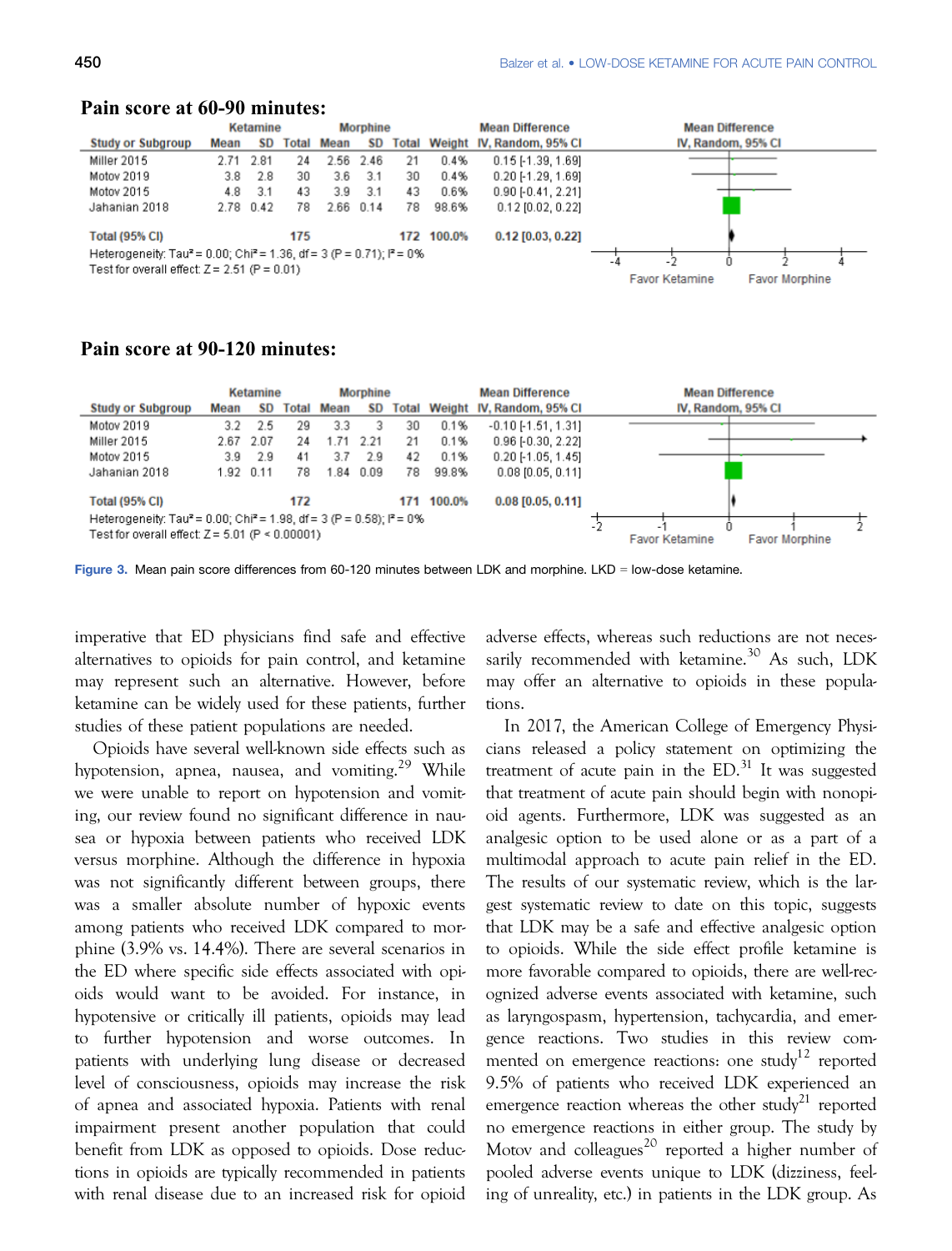|                                                                                                                                                 |      | Ketamine  |     |                   | <b>Morphine</b> |              |        | <b>Mean Difference</b>    | <b>Mean Difference</b> |                    |                       |  |
|-------------------------------------------------------------------------------------------------------------------------------------------------|------|-----------|-----|-------------------|-----------------|--------------|--------|---------------------------|------------------------|--------------------|-----------------------|--|
| <b>Study or Subgroup</b>                                                                                                                        | Mean | <b>SD</b> |     | <b>Total Mean</b> | <b>SD</b>       | <b>Total</b> |        | Weight IV, Random, 95% CI |                        | IV, Random, 95% CI |                       |  |
| Miller 2015                                                                                                                                     |      | 2.71 2.81 | 24  |                   | 2.56 2.46       | 21           | 0.4%   | $0.15$ [-1.39, 1.69]      |                        |                    |                       |  |
| Motov 2019                                                                                                                                      | 3.8  | 2.8       | 30  | 3.6               | 3.1             | 30           | 0.4%   | $0.20$ [-1.29, 1.69]      |                        |                    |                       |  |
| Motov 2015                                                                                                                                      | 4.8  | 3.1       | 43  | 3.9               | -3.1            | 43           | 0.6%   | $0.90$ [-0.41, 2.21]      |                        |                    |                       |  |
| Jahanian 2018                                                                                                                                   |      | 2.78 0.42 | 78  | 2.66 0.14         |                 | 78           | 98.6%  | $0.12$ [0.02, 0.22]       |                        |                    |                       |  |
| <b>Total (95% CI)</b>                                                                                                                           |      |           | 175 |                   |                 | 172          | 100.0% | $0.12$ [0.03, 0.22]       |                        |                    |                       |  |
| Heterogeneity: Tau <sup>2</sup> = 0.00; Chi <sup>2</sup> = 1.36, df = 3 (P = 0.71); $P = 0\%$<br>Test for overall effect: $Z = 2.51$ (P = 0.01) |      |           |     |                   |                 |              |        |                           |                        |                    |                       |  |
|                                                                                                                                                 |      |           |     |                   |                 |              |        |                           | <b>Favor Ketamine</b>  |                    | <b>Favor Morphine</b> |  |

# **Pain score at 60-90 minutes:**

# **Pain score at 90-120 minutes:**

|                                                                                                                                                    | <b>Morphine</b><br>Ketamine |           |       |      |           |    |            | <b>Mean Difference</b>          | <b>Mean Difference</b> |                       |  |
|----------------------------------------------------------------------------------------------------------------------------------------------------|-----------------------------|-----------|-------|------|-----------|----|------------|---------------------------------|------------------------|-----------------------|--|
| <b>Study or Subgroup</b>                                                                                                                           | Mean                        | <b>SD</b> | Total | Mean | SD        |    |            | Total Weight IV, Random, 95% CI | IV, Random, 95% CI     |                       |  |
| Motov 2019                                                                                                                                         | 3.2                         | 2.5       | 29    | 3.3  | з         | 30 | 0.1%       | $-0.10[-1.51, 1.31]$            |                        |                       |  |
| Miller 2015                                                                                                                                        |                             | 2.67 2.07 | 24    | 1.71 | 2.21      | 21 | 0.1%       | $0.96$ [-0.30, 2.22]            |                        |                       |  |
| Motov 2015                                                                                                                                         | 3.9                         | 2.9       | 41    | 3.7  | 2.9       | 42 | 0.1%       | $0.20$ [-1.05, 1.45]            |                        |                       |  |
| Jahanian 2018                                                                                                                                      |                             | 1.92 0.11 | 78    |      | 1.84 0.09 | 78 | 99.8%      | $0.08$ [0.05, 0.11]             |                        |                       |  |
| <b>Total (95% CI)</b>                                                                                                                              |                             |           | 172   |      |           |    | 171 100.0% | $0.08$ [0.05, 0.11]             |                        |                       |  |
| Heterogeneity: Tau <sup>2</sup> = 0.00; Chi <sup>2</sup> = 1.98, df = 3 (P = 0.58); $P = 0$ %<br>Test for overall effect: $Z = 5.01$ (P < 0.00001) |                             |           |       |      |           |    |            |                                 | <b>Favor Ketamine</b>  | <b>Favor Morphine</b> |  |

Figure 3. Mean pain score differences from 60-120 minutes between LDK and morphine. LKD = low-dose ketamine.

imperative that ED physicians find safe and effective alternatives to opioids for pain control, and ketamine may represent such an alternative. However, before ketamine can be widely used for these patients, further studies of these patient populations are needed.

Opioids have several well-known side effects such as hypotension, apnea, nausea, and vomiting.<sup>29</sup> While we were unable to report on hypotension and vomiting, our review found no significant difference in nausea or hypoxia between patients who received LDK versus morphine. Although the difference in hypoxia was not significantly different between groups, there was a smaller absolute number of hypoxic events among patients who received LDK compared to morphine (3.9% vs. 14.4%). There are several scenarios in the ED where specific side effects associated with opioids would want to be avoided. For instance, in hypotensive or critically ill patients, opioids may lead to further hypotension and worse outcomes. In patients with underlying lung disease or decreased level of consciousness, opioids may increase the risk of apnea and associated hypoxia. Patients with renal impairment present another population that could benefit from LDK as opposed to opioids. Dose reductions in opioids are typically recommended in patients with renal disease due to an increased risk for opioid adverse effects, whereas such reductions are not necessarily recommended with ketamine.<sup>30</sup> As such, LDK may offer an alternative to opioids in these populations.

In 2017, the American College of Emergency Physicians released a policy statement on optimizing the treatment of acute pain in the  $ED<sup>31</sup>$  It was suggested that treatment of acute pain should begin with nonopioid agents. Furthermore, LDK was suggested as an analgesic option to be used alone or as a part of a multimodal approach to acute pain relief in the ED. The results of our systematic review, which is the largest systematic review to date on this topic, suggests that LDK may be a safe and effective analgesic option to opioids. While the side effect profile ketamine is more favorable compared to opioids, there are well-recognized adverse events associated with ketamine, such as laryngospasm, hypertension, tachycardia, and emergence reactions. Two studies in this review commented on emergence reactions: one study<sup>12</sup> reported 9.5% of patients who received LDK experienced an emergence reaction whereas the other study<sup>21</sup> reported no emergence reactions in either group. The study by Motov and colleagues<sup>20</sup> reported a higher number of pooled adverse events unique to LDK (dizziness, feeling of unreality, etc.) in patients in the LDK group. As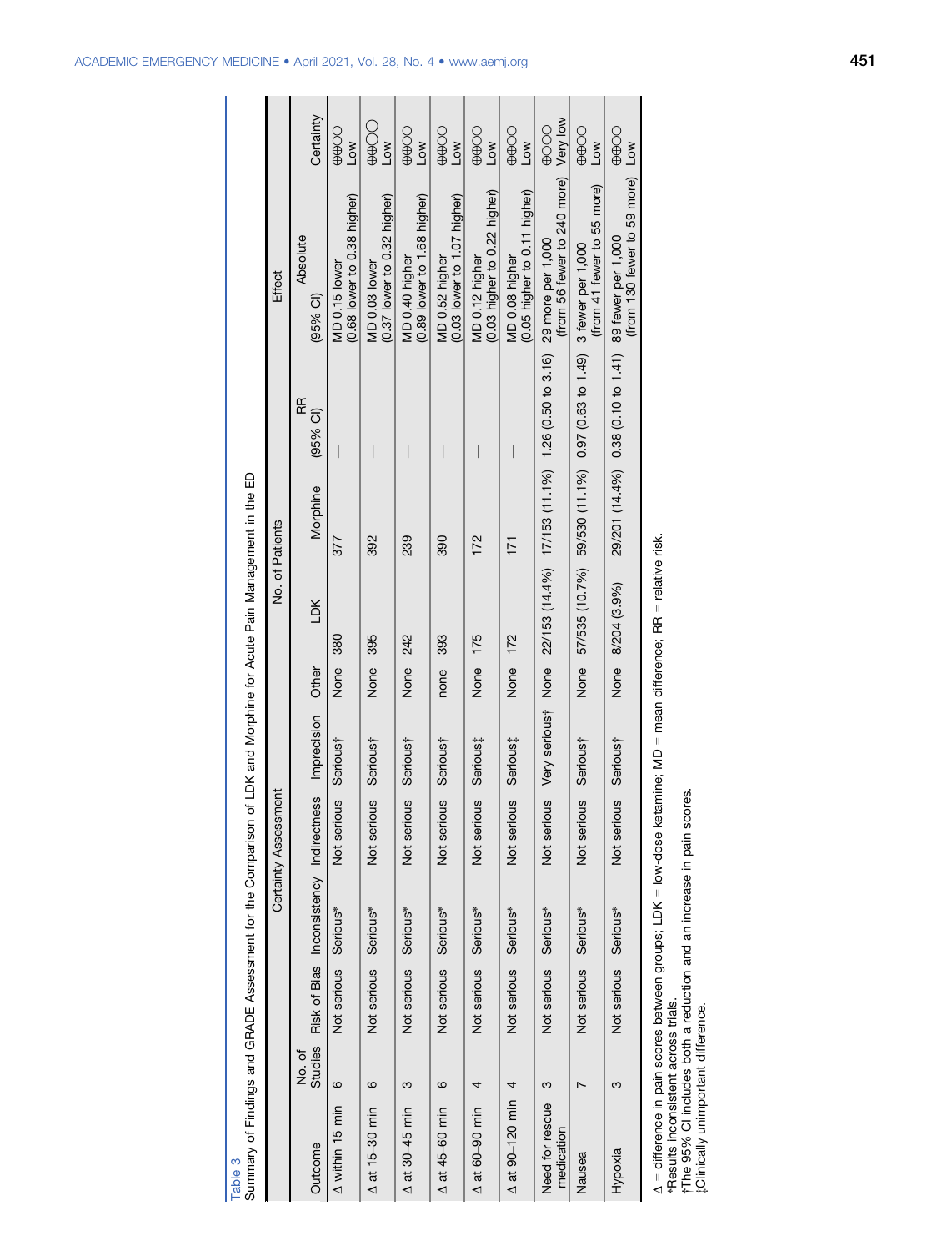| of LDK and Morphine for Acute Pain Management in the ED<br>Summary of Findings and GRADE Assessment for the Comparison | Effect<br>No. of Patients<br>Certainty Assessment | Certainty<br>Absolute<br>$(95%$ CI)<br>Æ<br>$(95%$ CI)<br>Morphine<br>ГDК<br>Other<br>Imprecision<br>Risk of Bias Inconsistency Indirectness | 00000<br>Low<br>$(0.68$ lower to $0.38$ higher)<br>MD 0.15 lower<br>377<br>380<br>None<br>Serious <sup>†</sup><br>Not serious<br>Serious*<br>Not serious | $\bigcircledast$<br>Low<br>$(0.37$ lower to $0.32$ higher)<br>MD 0.03 lower<br>392<br>395<br>None<br>Serious†<br>Not serious<br>Not serious Serious* | 00000<br>Low<br>$(0.89$ lower to 1.68 higher)<br>MD 0.40 higher<br>239<br>242<br>None<br>Serious <sup>†</sup><br>Not serious<br>Not serious Serious* | 00000<br>$\overline{\text{Cov}}$<br>$(0.03$ lower to 1.07 higher)<br>MD 0.52 higher<br>390<br>393<br>none<br>Serious†<br>Not serious<br>Serious*<br>Not serious | 00000<br>Low<br>$(0.03$ higher to $0.22$ higher)<br>MD 0.12 higher<br>172<br>175<br>None<br>Serious;<br>Not serious<br>Not serious Serious* | 00000<br>Low<br>(0.05 higher to 0.11 higher)<br>MD 0.08 higher<br>171<br>172<br>None<br>Serious:<br>Not serious<br>Serious*<br>Not serious | Very low<br>0000<br>(from 56 fewer to 240 more)<br>29 more per 1,000<br>22/153 (14.4%) 17/153 (11.1%) 1.26 (0.50 to 3.16)<br>Very serioust<br>None<br>Not serious<br>Serious*<br>Not serious | OOBB<br><b>NOT</b><br>(from 41 fewer to 55 more)<br>3 fewer per 1,000<br>57/535 (10.7%) 59/530 (11.1%) 0.97 (0.63 to 1.49)<br>None<br>Serious†<br>Not serious<br>Not serious Serious* | 00000<br>$\sqrt{10}$<br>(from 130 fewer to 59 more)<br>29/201 (14.4%) 0.38 (0.10 to 1.41) 89 fewer per 1,000<br>None 8/204 (3.9%)<br>Serious†<br>Not serious<br>Not serious Serious* |  |
|------------------------------------------------------------------------------------------------------------------------|---------------------------------------------------|----------------------------------------------------------------------------------------------------------------------------------------------|----------------------------------------------------------------------------------------------------------------------------------------------------------|------------------------------------------------------------------------------------------------------------------------------------------------------|------------------------------------------------------------------------------------------------------------------------------------------------------|-----------------------------------------------------------------------------------------------------------------------------------------------------------------|---------------------------------------------------------------------------------------------------------------------------------------------|--------------------------------------------------------------------------------------------------------------------------------------------|----------------------------------------------------------------------------------------------------------------------------------------------------------------------------------------------|---------------------------------------------------------------------------------------------------------------------------------------------------------------------------------------|--------------------------------------------------------------------------------------------------------------------------------------------------------------------------------------|--|
|                                                                                                                        |                                                   |                                                                                                                                              |                                                                                                                                                          |                                                                                                                                                      |                                                                                                                                                      |                                                                                                                                                                 |                                                                                                                                             |                                                                                                                                            |                                                                                                                                                                                              |                                                                                                                                                                                       |                                                                                                                                                                                      |  |
|                                                                                                                        |                                                   | <b>Studies</b><br>to<br>Si                                                                                                                   | ဖ                                                                                                                                                        | ဖ                                                                                                                                                    | ω                                                                                                                                                    | ဖ                                                                                                                                                               | 4                                                                                                                                           | 4                                                                                                                                          | ო                                                                                                                                                                                            |                                                                                                                                                                                       | ო                                                                                                                                                                                    |  |
|                                                                                                                        |                                                   | Outcome                                                                                                                                      | A within 15 min                                                                                                                                          | A at 15-30 min                                                                                                                                       | $\Delta$ at 30–45 min                                                                                                                                | $\Delta$ at 45-60 min                                                                                                                                           | $\Delta$ at 60-90 min                                                                                                                       | $\Delta$ at 90-120 min                                                                                                                     | Need for rescue<br>medication                                                                                                                                                                | Nausea                                                                                                                                                                                | Hypoxia                                                                                                                                                                              |  |

Δ = difference in pain scores between groups; LDK = low-dose ketamine; MD = mean difference; RR = relative risk.<br>\*Results inconsistent across trials.<br>†The 95% Cl includes both a reduction and an increase in pain scores.<br> = difference in pain scores between groups; LDK = low-dose ketamine; MD = mean difference; RR = relative risk.

\*Results inconsistent across trials. †The 95% CI includes both a reduction and an increase in pain scores.

‡Clinically unimportant difference.

Table 3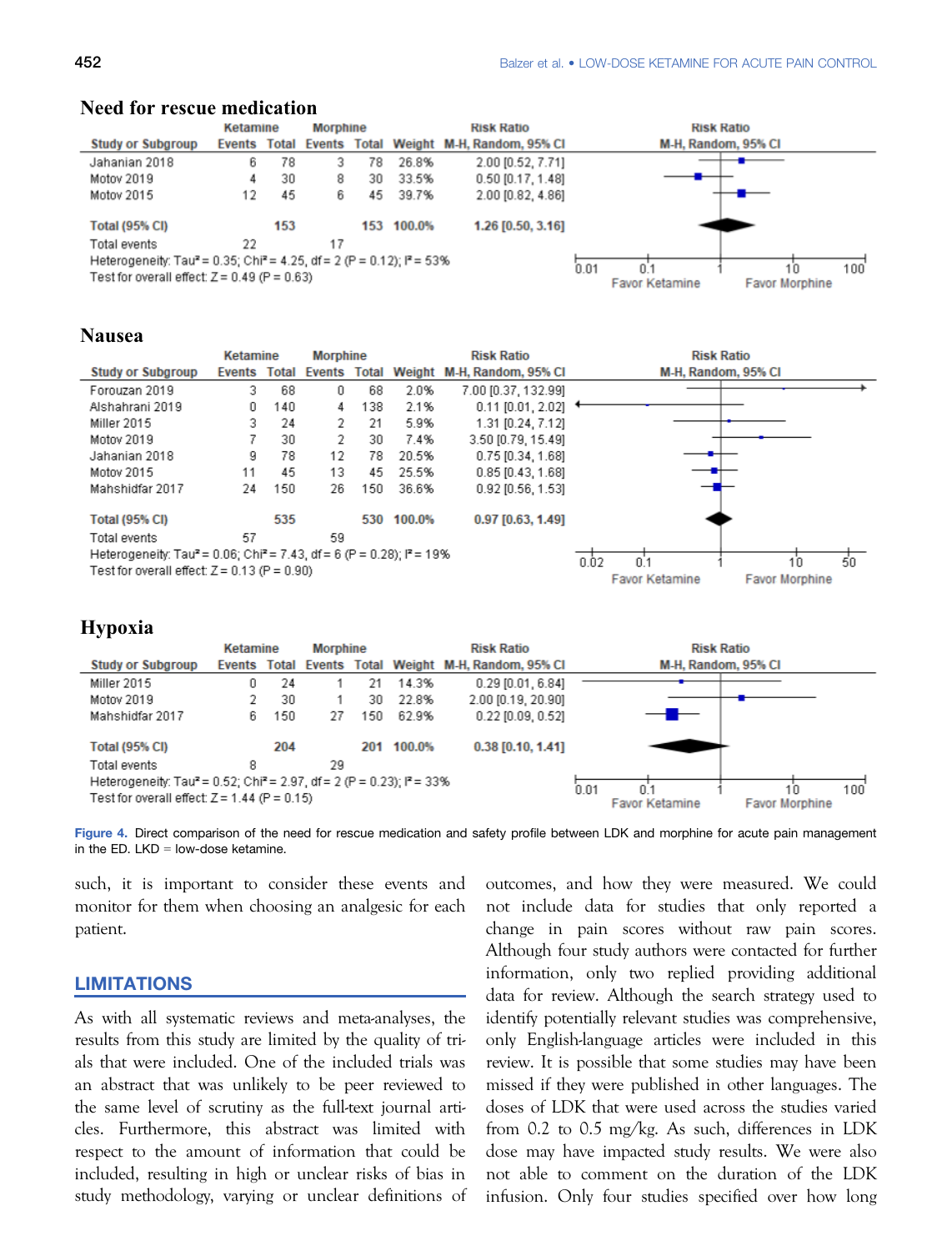#### Kotamino **Morphine Risk Ratio Risk Ratio Study or Subgroup Events Total Events** Total Weight M-H, Random, 95% CI M-H, Random, 95% CI 78 Jahanian 2018 6 3 78 26.8% 2.00 [0.52, 7.71] Motov 2019  $\Delta$ 30 8 30 33.5% 0.50 [0.17, 1.48] Motov 2015 12 45  $\bar{K}$ 2.00 (0.82, 4.86) 45 39.7% **Total (95% CI)** 153 153 100.0% 1.26 [0.50, 3.16] Total events 22  $17$ Heterogeneity: Tau<sup>2</sup> = 0.35; Chi<sup>2</sup> = 4.25, df = 2 (P = 0.12); P = 53%  $\overline{h}$  m 1'n n'i  $100$ Test for overall effect:  $Z = 0.49$  (P = 0.63) Favor Ketamine **Favor Morphine**

#### **Need for rescue medication**

# **Nausea**

|                                                                                                | Ketamine |     | <b>Morphine</b>           |     |        | <b>Risk Ratio</b>          | <b>Risk Ratio</b>                       |
|------------------------------------------------------------------------------------------------|----------|-----|---------------------------|-----|--------|----------------------------|-----------------------------------------|
| <b>Study or Subgroup</b>                                                                       | Events   |     | <b>Total Events Total</b> |     |        | Weight M-H, Random, 95% CI | M-H, Random, 95% CI                     |
| Forouzan 2019                                                                                  | 3.       | 68  | 0                         | 68  | 2.0%   | 7.00 [0.37, 132.99]        |                                         |
| Alshahrani 2019                                                                                | 0        | 140 | 4                         | 138 | 2.1%   | $0.11$ [0.01, 2.02]        |                                         |
| Miller 2015                                                                                    | 3.       | 24  | 2                         | 21  | 5.9%   | 1.31 [0.24, 7.12]          |                                         |
| Motov 2019                                                                                     |          | 30  | 2                         | 30  | 7.4%   | 3.50 [0.79, 15.49]         |                                         |
| Jahanian 2018                                                                                  | 9        | 78  | 12                        | 78  | 20.5%  | $0.75$ [0.34, 1.68]        |                                         |
| Motov 2015                                                                                     | 11       | 45  | 13                        | 45  | 25.5%  | $0.85$ [0.43, 1.68]        |                                         |
| Mahshidfar 2017                                                                                | 24       | 150 | 26                        | 150 | 36.6%  | $0.92$ [0.56, 1.53]        |                                         |
| <b>Total (95% CI)</b>                                                                          |          | 535 |                           | 530 | 100.0% | $0.97$ [0.63, 1.49]        |                                         |
| Total events                                                                                   | 57       |     | 59                        |     |        |                            |                                         |
| Heterogeneity: Tau <sup>2</sup> = 0.06; Chi <sup>2</sup> = 7.43, df = 6 (P = 0.28); $P = 19\%$ |          |     |                           |     |        |                            | 0.02<br>50<br>10<br>0.1                 |
| Test for overall effect: $Z = 0.13$ (P = 0.90)                                                 |          |     |                           |     |        |                            | <b>Favor Ketamine</b><br>Favor Morphine |

# **Hypoxia**

|                                                                                                | <b>Ketamine</b> |     | <b>Morphine</b> |     |            | <b>Risk Ratio</b>                                    |      | <b>Risk Ratio</b>     |                       |            |
|------------------------------------------------------------------------------------------------|-----------------|-----|-----------------|-----|------------|------------------------------------------------------|------|-----------------------|-----------------------|------------|
| <b>Study or Subgroup</b>                                                                       |                 |     |                 |     |            | Events Total Events Total Weight M-H, Random, 95% CI |      | M-H, Random, 95% CI   |                       |            |
| Miller 2015                                                                                    | 0               | 24  |                 | 21  | 14.3%      | $0.29$ [0.01, 6.84]                                  |      |                       |                       |            |
| Motov 2019                                                                                     |                 | 30  |                 | 30  | 22.8%      | 2.00 [0.19, 20.90]                                   |      |                       |                       |            |
| Mahshidfar 2017                                                                                | 6               | 150 | 27              | 150 | 62.9%      | $0.22$ $[0.09, 0.52]$                                |      |                       |                       |            |
| <b>Total (95% CI)</b>                                                                          |                 | 204 |                 |     | 201 100.0% | $0.38$ [0.10, 1.41]                                  |      |                       |                       |            |
| Total events                                                                                   | 8               |     | 29              |     |            |                                                      |      |                       |                       |            |
| Heterogeneity: Tau <sup>2</sup> = 0.52; Chi <sup>2</sup> = 2.97, df = 2 (P = 0.23); $P = 33\%$ |                 |     |                 |     |            |                                                      | 0.01 | N 1                   | 10                    | $100^{-1}$ |
| Test for overall effect: $Z = 1.44$ (P = 0.15)                                                 |                 |     |                 |     |            |                                                      |      | <b>Favor Ketamine</b> | <b>Favor Morphine</b> |            |

Figure 4. Direct comparison of the need for rescue medication and safety profile between LDK and morphine for acute pain management in the ED.  $LKD = low-dose$  ketamine.

such, it is important to consider these events and monitor for them when choosing an analgesic for each patient.

#### LIMITATIONS

As with all systematic reviews and meta-analyses, the results from this study are limited by the quality of trials that were included. One of the included trials was an abstract that was unlikely to be peer reviewed to the same level of scrutiny as the full-text journal articles. Furthermore, this abstract was limited with respect to the amount of information that could be included, resulting in high or unclear risks of bias in study methodology, varying or unclear definitions of outcomes, and how they were measured. We could not include data for studies that only reported a change in pain scores without raw pain scores. Although four study authors were contacted for further information, only two replied providing additional data for review. Although the search strategy used to identify potentially relevant studies was comprehensive, only English-language articles were included in this review. It is possible that some studies may have been missed if they were published in other languages. The doses of LDK that were used across the studies varied from 0.2 to 0.5 mg/kg. As such, differences in LDK dose may have impacted study results. We were also not able to comment on the duration of the LDK infusion. Only four studies specified over how long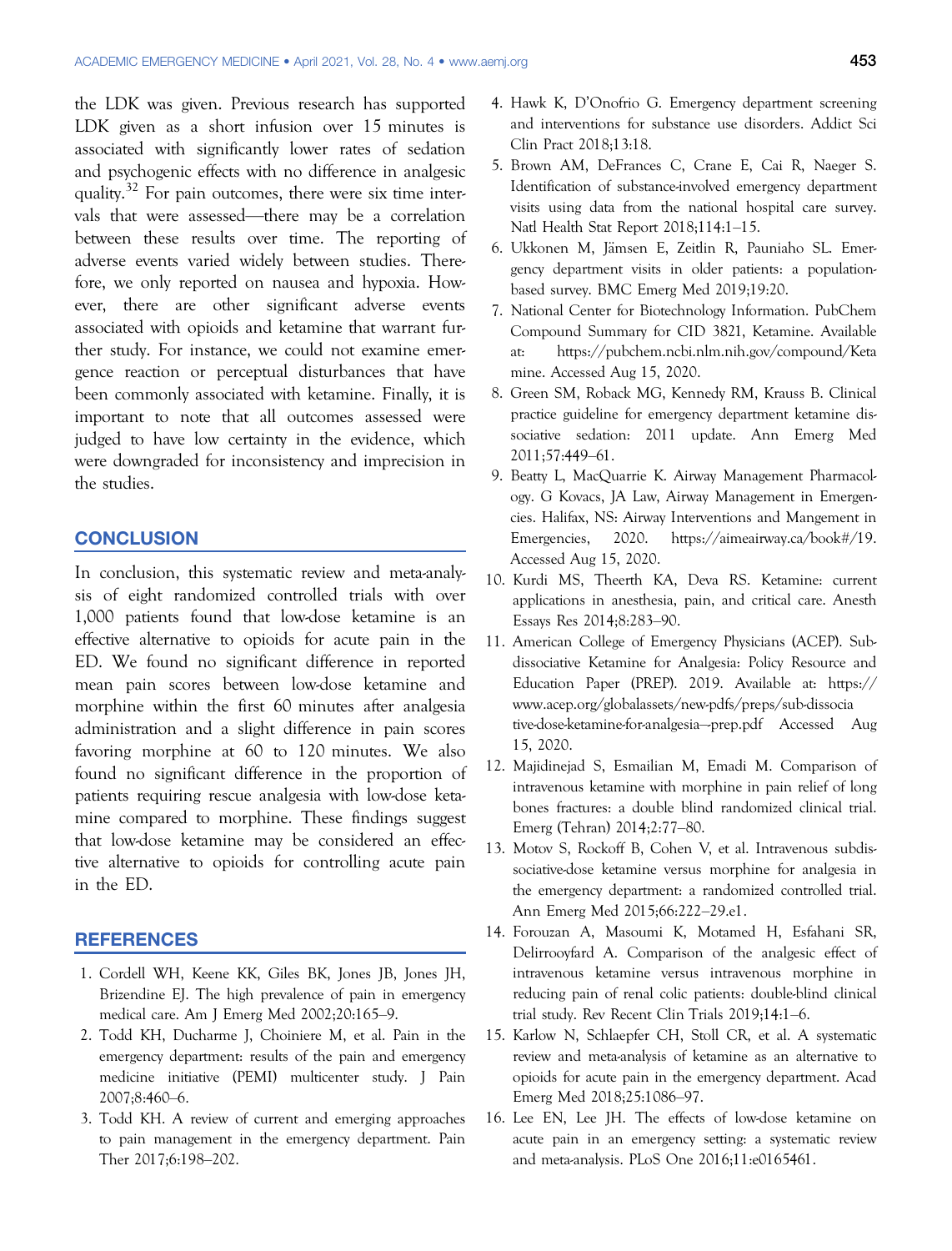the LDK was given. Previous research has supported LDK given as a short infusion over 15 minutes is associated with significantly lower rates of sedation and psychogenic effects with no difference in analgesic quality.<sup>32</sup> For pain outcomes, there were six time intervals that were assessed—there may be a correlation between these results over time. The reporting of adverse events varied widely between studies. Therefore, we only reported on nausea and hypoxia. However, there are other significant adverse events associated with opioids and ketamine that warrant further study. For instance, we could not examine emergence reaction or perceptual disturbances that have been commonly associated with ketamine. Finally, it is important to note that all outcomes assessed were judged to have low certainty in the evidence, which were downgraded for inconsistency and imprecision in the studies.

# **CONCLUSION**

In conclusion, this systematic review and meta-analysis of eight randomized controlled trials with over 1,000 patients found that low-dose ketamine is an effective alternative to opioids for acute pain in the ED. We found no significant difference in reported mean pain scores between low-dose ketamine and morphine within the first 60 minutes after analgesia administration and a slight difference in pain scores favoring morphine at 60 to 120 minutes. We also found no significant difference in the proportion of patients requiring rescue analgesia with low-dose ketamine compared to morphine. These findings suggest that low-dose ketamine may be considered an effective alternative to opioids for controlling acute pain in the ED.

# REFERENCES

- 1. Cordell WH, Keene KK, Giles BK, Jones JB, Jones JH, Brizendine EJ. The high prevalence of pain in emergency medical care. Am J Emerg Med 2002;20:165–9.
- 2. Todd KH, Ducharme J, Choiniere M, et al. Pain in the emergency department: results of the pain and emergency medicine initiative (PEMI) multicenter study. J Pain 2007;8:460–6.
- 3. Todd KH. A review of current and emerging approaches to pain management in the emergency department. Pain Ther 2017;6:198–202.
- 4. Hawk K, D'Onofrio G. Emergency department screening and interventions for substance use disorders. Addict Sci Clin Pract 2018;13:18.
- 5. Brown AM, DeFrances C, Crane E, Cai R, Naeger S. Identification of substance-involved emergency department visits using data from the national hospital care survey. Natl Health Stat Report 2018;114:1–15.
- 6. Ukkonen M, Jämsen E, Zeitlin R, Pauniaho SL. Emergency department visits in older patients: a populationbased survey. BMC Emerg Med 2019;19:20.
- 7. National Center for Biotechnology Information. PubChem Compound Summary for CID 3821, Ketamine. Available at: [https://pubchem.ncbi.nlm.nih.gov/compound/Keta](https://pubchem.ncbi.nlm.nih.gov/compound/Ketamine) [mine.](https://pubchem.ncbi.nlm.nih.gov/compound/Ketamine) Accessed Aug 15, 2020.
- 8. Green SM, Roback MG, Kennedy RM, Krauss B. Clinical practice guideline for emergency department ketamine dissociative sedation: 2011 update. Ann Emerg Med 2011;57:449–61.
- 9. Beatty L, MacQuarrie K. Airway Management Pharmacology. G Kovacs, JA Law, Airway Management in Emergencies. Halifax, NS: Airway Interventions and Mangement in Emergencies, 2020.<https://aimeairway.ca/book#/19>. Accessed Aug 15, 2020.
- 10. Kurdi MS, Theerth KA, Deva RS. Ketamine: current applications in anesthesia, pain, and critical care. Anesth Essays Res 2014;8:283–90.
- 11. American College of Emergency Physicians (ACEP). Subdissociative Ketamine for Analgesia: Policy Resource and Education Paper (PREP). 2019. Available at: [https://](https://www.acep.org/globalassets/new-pdfs/preps/sub-dissociative-dose-ketamine-for-analgesia%2013-prep.pdf) [www.acep.org/globalassets/new-pdfs/preps/sub-dissocia](https://www.acep.org/globalassets/new-pdfs/preps/sub-dissociative-dose-ketamine-for-analgesia%2013-prep.pdf) [tive-dose-ketamine-for-analgesia](https://www.acep.org/globalassets/new-pdfs/preps/sub-dissociative-dose-ketamine-for-analgesia%2013-prep.pdf)–-prep.pdf Accessed Aug 15, 2020.
- 12. Majidinejad S, Esmailian M, Emadi M. Comparison of intravenous ketamine with morphine in pain relief of long bones fractures: a double blind randomized clinical trial. Emerg (Tehran) 2014;2:77–80.
- 13. Motov S, Rockoff B, Cohen V, et al. Intravenous subdissociative-dose ketamine versus morphine for analgesia in the emergency department: a randomized controlled trial. Ann Emerg Med 2015;66:222–29.e1.
- 14. Forouzan A, Masoumi K, Motamed H, Esfahani SR, Delirrooyfard A. Comparison of the analgesic effect of intravenous ketamine versus intravenous morphine in reducing pain of renal colic patients: double-blind clinical trial study. Rev Recent Clin Trials 2019;14:1–6.
- 15. Karlow N, Schlaepfer CH, Stoll CR, et al. A systematic review and meta-analysis of ketamine as an alternative to opioids for acute pain in the emergency department. Acad Emerg Med 2018;25:1086–97.
- 16. Lee EN, Lee JH. The effects of low-dose ketamine on acute pain in an emergency setting: a systematic review and meta-analysis. PLoS One 2016;11:e0165461.